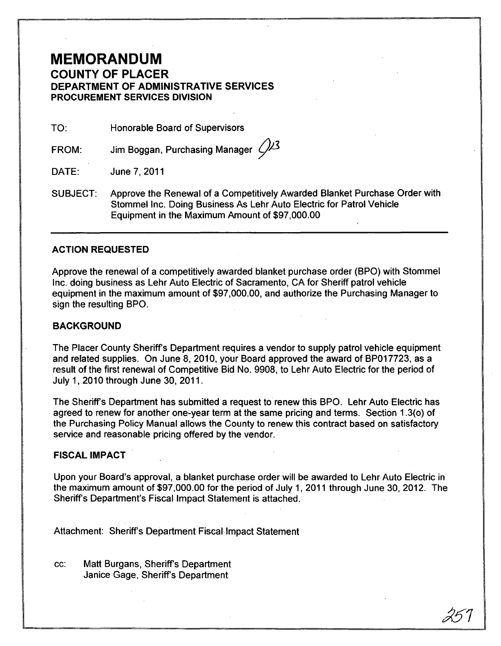### **MEMORANDUM COUNTY OF PLACER DEPARTMENT OF ADMINISTRATIVE SERVICES PROCUREMENT SERVICES DIVISION**

TO: Honorable Board of Supervisors

FROM: Jim Boggan, Purchasing Manager  $\sqrt{2^3}$ 

DATE: June 7,2011

SUBJECT: Approve the Renewal of a Competitively Awarded Blanket Purchase Order with Stommel Inc. Doing Business As Lehr Auto Electric for Patrol Vehicle Equipment in the Maximum Amount of \$97,000.00

#### **ACTION REQUESTED**

Approve the renewal of a competitively awarded blanket purchase order (BPO) with Stommel Inc. doing business as Lehr Auto Electric of Sacramento, CA for Sheriff patrol vehicle equipment in the maximum amount of \$97,000.00, and authorize the Purchasing Manager to sign the resulting BPO.

#### **BACKGROUND**

The Placer County Sheriffs Department requires a vendor to supply patrol vehicle equipment and related supplies. On June 8, 2010, your Board approved the award of BP017723, as a result of the first renewal of Competitive Bid No. 9908, to Lehr Auto Electric for the period of July 1, 2010 through June 30, 2011.

The Sheriffs Department has submitted a request to renew this BPO. Lehr Auto Electric has agreed to renew for another one-year term at the same pricing and terms. Section 1.3(0) of the Purchasing Policy Manual allows the County to renew this contract based on satisfactory service and reasonable pricing offered by the vendor.

#### **FISCAL IMPACT**

Upon your Board's approval, a blanket purchase order will be awarded to Lehr Auto Electric in the maximum amount of \$97,000.00 for the period of July 1,2011 through June 30,2012. The Sheriff's Department's Fiscal Impact Statement is attached.

Attachment: Sheriff's Department Fiscal Impact Statement

cc: Matt Burgans, Sheriffs Department Janice Gage, Sheriff's Department